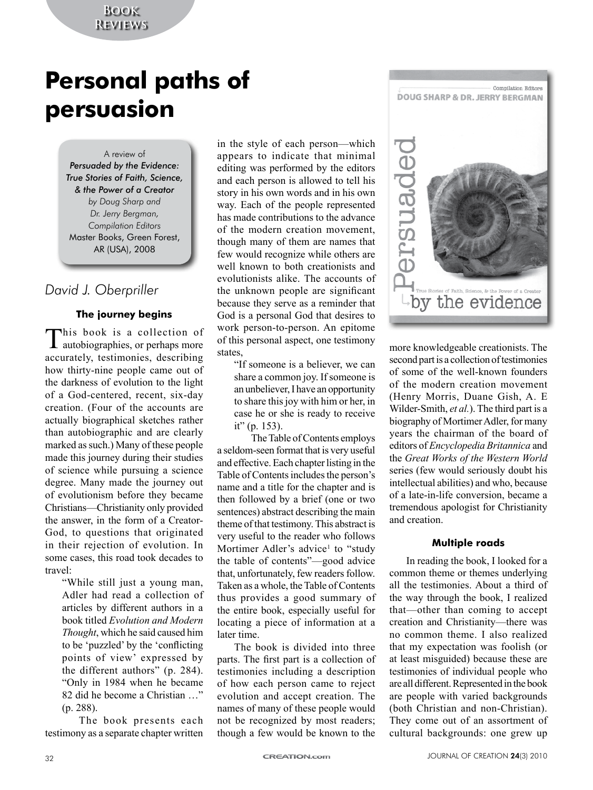## **Book Reviews**

# **Personal paths of persuasion**

A review of

*Persuaded by the Evidence: True Stories of Faith, Science, & the Power of a Creator by Doug Sharp and Dr. Jerry Bergman, Compilation Editors* Master Books, Green Forest, AR (USA), 2008

# *David J. Oberpriller*

### **The journey begins**

This book is a collection of **L** autobiographies, or perhaps more accurately, testimonies, describing how thirty-nine people came out of the darkness of evolution to the light of a God-centered, recent, six-day creation. (Four of the accounts are actually biographical sketches rather than autobiographic and are clearly marked as such.) Many of these people made this journey during their studies of science while pursuing a science degree. Many made the journey out of evolutionism before they became Christians—Christianity only provided the answer, in the form of a Creator-God, to questions that originated in their rejection of evolution. In some cases, this road took decades to travel:

"While still just a young man, Adler had read a collection of articles by different authors in a book titled *Evolution and Modern Thought*, which he said caused him to be 'puzzled' by the 'conflicting points of view' expressed by the different authors" (p. 284). "Only in 1984 when he became 82 did he become a Christian …" (p. 288).

The book presents each testimony as a separate chapter written

in the style of each person—which appears to indicate that minimal editing was performed by the editors and each person is allowed to tell his story in his own words and in his own way. Each of the people represented has made contributions to the advance of the modern creation movement, though many of them are names that few would recognize while others are well known to both creationists and evolutionists alike. The accounts of the unknown people are significant because they serve as a reminder that God is a personal God that desires to work person-to-person. An epitome of this personal aspect, one testimony states,

"If someone is a believer, we can share a common joy. If someone is an unbeliever, I have an opportunity to share this joy with him or her, in case he or she is ready to receive it" (p. 153).

The Table of Contents employs a seldom-seen format that is very useful and effective. Each chapter listing in the Table of Contents includes the person's name and a title for the chapter and is then followed by a brief (one or two sentences) abstract describing the main theme of that testimony. This abstract is very useful to the reader who follows Mortimer Adler's advice<sup>1</sup> to "study the table of contents"—good advice that, unfortunately, few readers follow. Taken as a whole, the Table of Contents thus provides a good summary of the entire book, especially useful for locating a piece of information at a later time.

The book is divided into three parts. The first part is a collection of testimonies including a description of how each person came to reject evolution and accept creation. The names of many of these people would not be recognized by most readers; though a few would be known to the



more knowledgeable creationists. The second part is a collection of testimonies of some of the well-known founders of the modern creation movement (Henry Morris, Duane Gish, A. E Wilder-Smith, *et al.*). The third part is a biography of Mortimer Adler, for many years the chairman of the board of editors of *Encyclopedia Britannica* and the *Great Works of the Western World* series (few would seriously doubt his intellectual abilities) and who, because of a late-in-life conversion, became a tremendous apologist for Christianity and creation.

#### **Multiple roads**

In reading the book, I looked for a common theme or themes underlying all the testimonies. About a third of the way through the book, I realized that—other than coming to accept creation and Christianity—there was no common theme. I also realized that my expectation was foolish (or at least misguided) because these are testimonies of individual people who are all different. Represented in the book are people with varied backgrounds (both Christian and non-Christian). They come out of an assortment of cultural backgrounds: one grew up